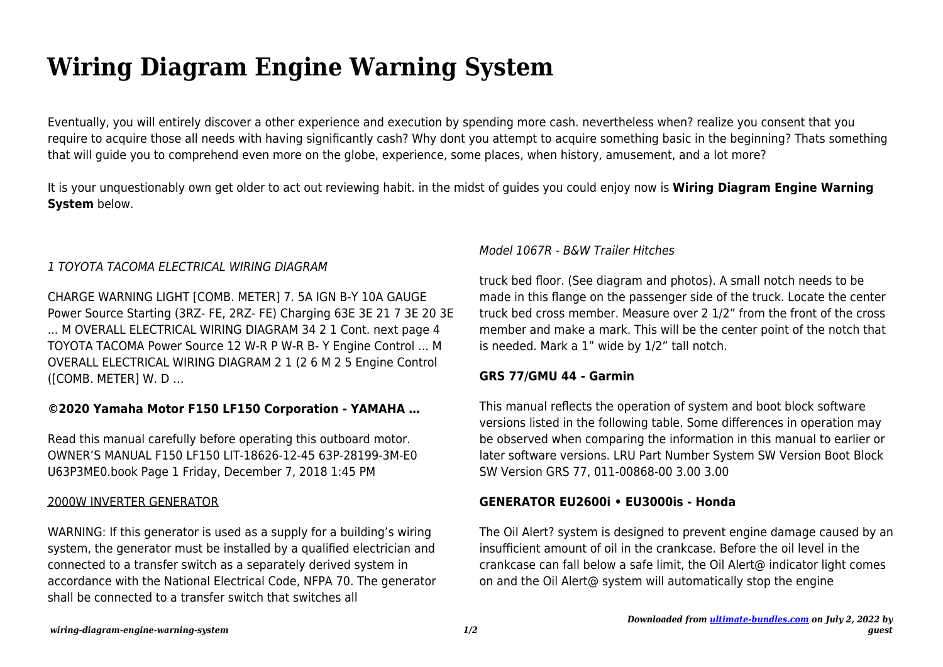# **Wiring Diagram Engine Warning System**

Eventually, you will entirely discover a other experience and execution by spending more cash. nevertheless when? realize you consent that you require to acquire those all needs with having significantly cash? Why dont you attempt to acquire something basic in the beginning? Thats something that will guide you to comprehend even more on the globe, experience, some places, when history, amusement, and a lot more?

It is your unquestionably own get older to act out reviewing habit. in the midst of guides you could enjoy now is **Wiring Diagram Engine Warning System** below.

# 1 TOYOTA TACOMA ELECTRICAL WIRING DIAGRAM

CHARGE WARNING LIGHT [COMB. METER] 7. 5A IGN B-Y 10A GAUGE Power Source Starting (3RZ- FE, 2RZ- FE) Charging 63E 3E 21 7 3E 20 3E ... M OVERALL ELECTRICAL WIRING DIAGRAM 34 2 1 Cont. next page 4 TOYOTA TACOMA Power Source 12 W-R P W-R B- Y Engine Control ... M OVERALL ELECTRICAL WIRING DIAGRAM 2 1 (2 6 M 2 5 Engine Control ([COMB. METER] W. D …

## **©2020 Yamaha Motor F150 LF150 Corporation - YAMAHA …**

Read this manual carefully before operating this outboard motor. OWNER'S MANUAL F150 LF150 LIT-18626-12-45 63P-28199-3M-E0 U63P3ME0.book Page 1 Friday, December 7, 2018 1:45 PM

#### 2000W INVERTER GENERATOR

WARNING: If this generator is used as a supply for a building's wiring system, the generator must be installed by a qualified electrician and connected to a transfer switch as a separately derived system in accordance with the National Electrical Code, NFPA 70. The generator shall be connected to a transfer switch that switches all

## Model 1067R - B&W Trailer Hitches

truck bed floor. (See diagram and photos). A small notch needs to be made in this flange on the passenger side of the truck. Locate the center truck bed cross member. Measure over 2 1/2" from the front of the cross member and make a mark. This will be the center point of the notch that is needed. Mark a 1" wide by 1/2" tall notch.

## **GRS 77/GMU 44 - Garmin**

This manual reflects the operation of system and boot block software versions listed in the following table. Some differences in operation may be observed when comparing the information in this manual to earlier or later software versions. LRU Part Number System SW Version Boot Block SW Version GRS 77, 011-00868-00 3.00 3.00

## **GENERATOR EU2600i • EU3000is - Honda**

The Oil Alert? system is designed to prevent engine damage caused by an insufficient amount of oil in the crankcase. Before the oil level in the crankcase can fall below a safe limit, the Oil Alert@ indicator light comes on and the Oil Alert@ system will automatically stop the engine